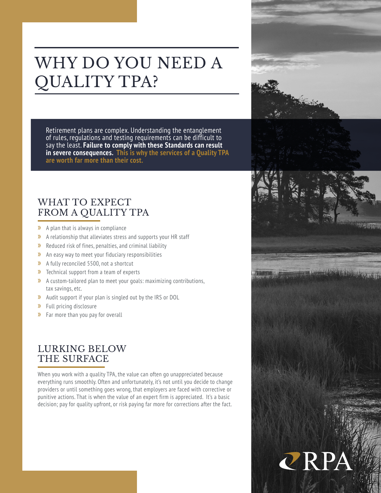# WHY DO YOU NEED A QUALITY TPA?

Retirement plans are complex. Understanding the entanglement of rules, regulations and testing requirements can be difficult to say the least. **Failure to comply with these Standards can result in severe consequences. This is why the services of a Quality TPA are worth far more than their cost.** 

### WHAT TO EXPECT FROM A QUALITY TPA

- » A plan that is always in compliance
- » A relationship that alleviates stress and supports your HR staff
- » Reduced risk of fines, penalties, and criminal liability
- » An easy way to meet your fiduciary responsibilities
- » A fully reconciled 5500, not a shortcut
- » Technical support from a team of experts
- » A custom-tailored plan to meet your goals: maximizing contributions, tax savings, etc.
- » Audit support if your plan is singled out by the IRS or DOL
- » Full pricing disclosure
- » Far more than you pay for overall

### LURKING BELOW THE SURFACE

When you work with a quality TPA, the value can often go unappreciated because everything runs smoothly. Often and unfortunately, it's not until you decide to change providers or until something goes wrong, that employers are faced with corrective or punitive actions. That is when the value of an expert firm is appreciated. It's a basic decision; pay for quality upfront, or risk paying far more for corrections after the fact.